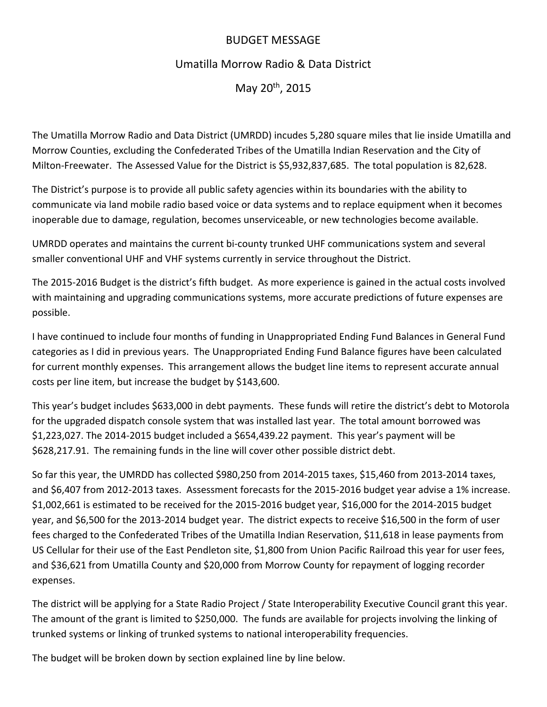## BUDGET MESSAGE

# Umatilla Morrow Radio & Data District

May 20th, 2015

The Umatilla Morrow Radio and Data District (UMRDD) incudes 5,280 square miles that lie inside Umatilla and Morrow Counties, excluding the Confederated Tribes of the Umatilla Indian Reservation and the City of Milton‐Freewater. The Assessed Value for the District is \$5,932,837,685. The total population is 82,628.

The District's purpose is to provide all public safety agencies within its boundaries with the ability to communicate via land mobile radio based voice or data systems and to replace equipment when it becomes inoperable due to damage, regulation, becomes unserviceable, or new technologies become available.

UMRDD operates and maintains the current bi‐county trunked UHF communications system and several smaller conventional UHF and VHF systems currently in service throughout the District.

The 2015‐2016 Budget is the district's fifth budget. As more experience is gained in the actual costs involved with maintaining and upgrading communications systems, more accurate predictions of future expenses are possible.

I have continued to include four months of funding in Unappropriated Ending Fund Balances in General Fund categories as I did in previous years. The Unappropriated Ending Fund Balance figures have been calculated for current monthly expenses. This arrangement allows the budget line items to represent accurate annual costs per line item, but increase the budget by \$143,600.

This year's budget includes \$633,000 in debt payments. These funds will retire the district's debt to Motorola for the upgraded dispatch console system that was installed last year. The total amount borrowed was \$1,223,027. The 2014‐2015 budget included a \$654,439.22 payment. This year's payment will be \$628,217.91. The remaining funds in the line will cover other possible district debt.

So far this year, the UMRDD has collected \$980,250 from 2014‐2015 taxes, \$15,460 from 2013‐2014 taxes, and \$6,407 from 2012‐2013 taxes. Assessment forecasts for the 2015‐2016 budget year advise a 1% increase. \$1,002,661 is estimated to be received for the 2015‐2016 budget year, \$16,000 for the 2014‐2015 budget year, and \$6,500 for the 2013‐2014 budget year. The district expects to receive \$16,500 in the form of user fees charged to the Confederated Tribes of the Umatilla Indian Reservation, \$11,618 in lease payments from US Cellular for their use of the East Pendleton site, \$1,800 from Union Pacific Railroad this year for user fees, and \$36,621 from Umatilla County and \$20,000 from Morrow County for repayment of logging recorder expenses.

The district will be applying for a State Radio Project / State Interoperability Executive Council grant this year. The amount of the grant is limited to \$250,000. The funds are available for projects involving the linking of trunked systems or linking of trunked systems to national interoperability frequencies.

The budget will be broken down by section explained line by line below.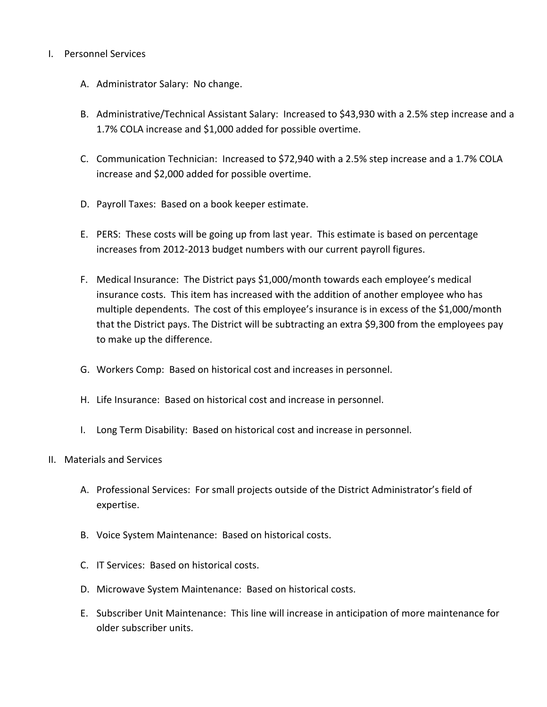## I. Personnel Services

- A. Administrator Salary: No change.
- B. Administrative/Technical Assistant Salary: Increased to \$43,930 with a 2.5% step increase and a 1.7% COLA increase and \$1,000 added for possible overtime.
- C. Communication Technician: Increased to \$72,940 with a 2.5% step increase and a 1.7% COLA increase and \$2,000 added for possible overtime.
- D. Payroll Taxes: Based on a book keeper estimate.
- E. PERS: These costs will be going up from last year. This estimate is based on percentage increases from 2012‐2013 budget numbers with our current payroll figures.
- F. Medical Insurance: The District pays \$1,000/month towards each employee's medical insurance costs. This item has increased with the addition of another employee who has multiple dependents. The cost of this employee's insurance is in excess of the \$1,000/month that the District pays. The District will be subtracting an extra \$9,300 from the employees pay to make up the difference.
- G. Workers Comp: Based on historical cost and increases in personnel.
- H. Life Insurance: Based on historical cost and increase in personnel.
- I. Long Term Disability: Based on historical cost and increase in personnel.
- II. Materials and Services
	- A. Professional Services: For small projects outside of the District Administrator's field of expertise.
	- B. Voice System Maintenance: Based on historical costs.
	- C. IT Services: Based on historical costs.
	- D. Microwave System Maintenance: Based on historical costs.
	- E. Subscriber Unit Maintenance: This line will increase in anticipation of more maintenance for older subscriber units.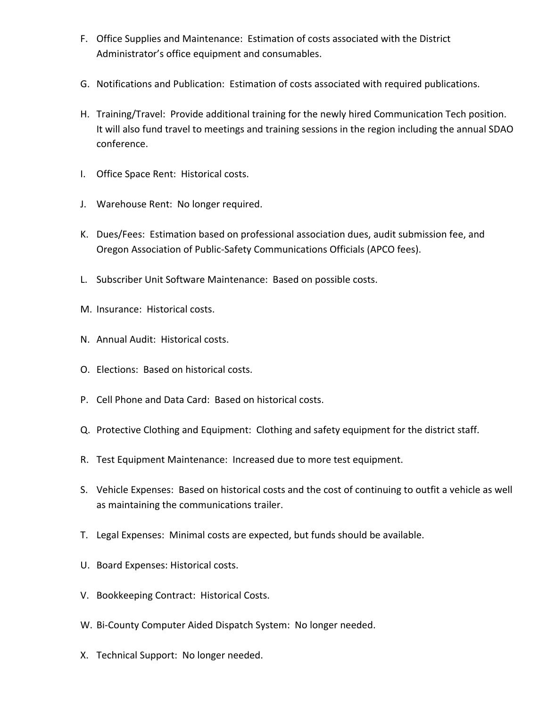- F. Office Supplies and Maintenance: Estimation of costs associated with the District Administrator's office equipment and consumables.
- G. Notifications and Publication: Estimation of costs associated with required publications.
- H. Training/Travel: Provide additional training for the newly hired Communication Tech position. It will also fund travel to meetings and training sessions in the region including the annual SDAO conference.
- I. Office Space Rent: Historical costs.
- J. Warehouse Rent: No longer required.
- K. Dues/Fees: Estimation based on professional association dues, audit submission fee, and Oregon Association of Public‐Safety Communications Officials (APCO fees).
- L. Subscriber Unit Software Maintenance: Based on possible costs.
- M. Insurance: Historical costs.
- N. Annual Audit: Historical costs.
- O. Elections: Based on historical costs.
- P. Cell Phone and Data Card: Based on historical costs.
- Q. Protective Clothing and Equipment: Clothing and safety equipment for the district staff.
- R. Test Equipment Maintenance: Increased due to more test equipment.
- S. Vehicle Expenses: Based on historical costs and the cost of continuing to outfit a vehicle as well as maintaining the communications trailer.
- T. Legal Expenses: Minimal costs are expected, but funds should be available.
- U. Board Expenses: Historical costs.
- V. Bookkeeping Contract: Historical Costs.
- W. Bi‐County Computer Aided Dispatch System: No longer needed.
- X. Technical Support: No longer needed.